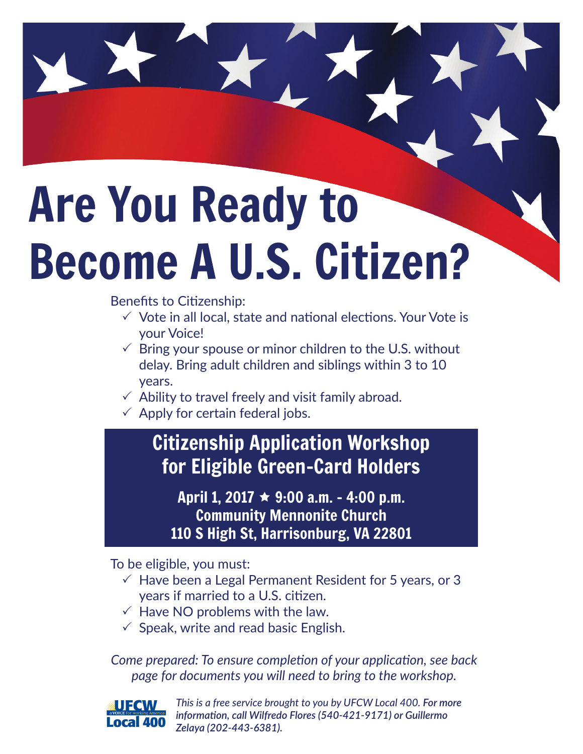## Are You Ready to Become A U.S. Citizen?

Benefits to Citizenship:

- $\checkmark$  Vote in all local, state and national elections. Your Vote is your Voice!
- $\checkmark$  Bring your spouse or minor children to the U.S. without delay. Bring adult children and siblings within 3 to 10 years.
- $\checkmark$  Ability to travel freely and visit family abroad.
- $\checkmark$  Apply for certain federal jobs.

## Citizenship Application Workshop for Eligible Green-Card Holders

April 1, 2017  $\star$  9:00 a.m. - 4:00 p.m. Community Mennonite Church 110 S High St, Harrisonburg, VA 22801

To be eligible, you must:

- $\sqrt{ }$  Have been a Legal Permanent Resident for 5 years, or 3 years if married to a U.S. citizen.
- $\checkmark$  Have NO problems with the law.
- $\checkmark$  Speak, write and read basic English.

*Come prepared: To ensure completion of your application, see back page for documents you will need to bring to the workshop.*



*This is a free service brought to you by UFCW Local 400. For more information, call Wilfredo Flores (540-421-9171) or Guillermo Zelaya (202-443-6381).*